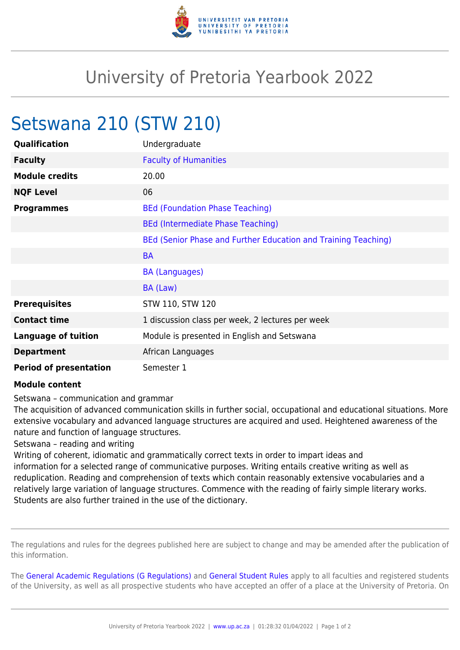

## University of Pretoria Yearbook 2022

## Setswana 210 (STW 210)

| Qualification                 | Undergraduate                                                  |
|-------------------------------|----------------------------------------------------------------|
| <b>Faculty</b>                | <b>Faculty of Humanities</b>                                   |
| <b>Module credits</b>         | 20.00                                                          |
| <b>NQF Level</b>              | 06                                                             |
| <b>Programmes</b>             | <b>BEd (Foundation Phase Teaching)</b>                         |
|                               | <b>BEd (Intermediate Phase Teaching)</b>                       |
|                               | BEd (Senior Phase and Further Education and Training Teaching) |
|                               | <b>BA</b>                                                      |
|                               | <b>BA (Languages)</b>                                          |
|                               | BA (Law)                                                       |
| <b>Prerequisites</b>          | STW 110, STW 120                                               |
| <b>Contact time</b>           | 1 discussion class per week, 2 lectures per week               |
| <b>Language of tuition</b>    | Module is presented in English and Setswana                    |
| <b>Department</b>             | African Languages                                              |
| <b>Period of presentation</b> | Semester 1                                                     |

## **Module content**

Setswana – communication and grammar

The acquisition of advanced communication skills in further social, occupational and educational situations. More extensive vocabulary and advanced language structures are acquired and used. Heightened awareness of the nature and function of language structures.

Setswana – reading and writing

Writing of coherent, idiomatic and grammatically correct texts in order to impart ideas and information for a selected range of communicative purposes. Writing entails creative writing as well as reduplication. Reading and comprehension of texts which contain reasonably extensive vocabularies and a relatively large variation of language structures. Commence with the reading of fairly simple literary works. Students are also further trained in the use of the dictionary.

The regulations and rules for the degrees published here are subject to change and may be amended after the publication of this information.

The [General Academic Regulations \(G Regulations\)](https://www.up.ac.za/faculty-of-education/yearbooks/2022/rules/view/REG) and [General Student Rules](https://www.up.ac.za/faculty-of-education/yearbooks/2022/rules/view/RUL) apply to all faculties and registered students of the University, as well as all prospective students who have accepted an offer of a place at the University of Pretoria. On